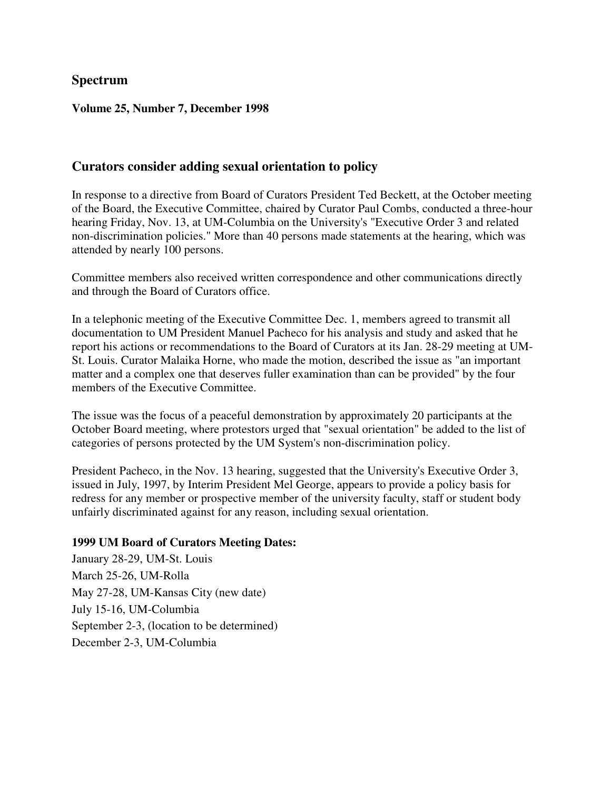## **Spectrum**

#### **Volume 25, Number 7, December 1998**

### **Curators consider adding sexual orientation to policy**

In response to a directive from Board of Curators President Ted Beckett, at the October meeting of the Board, the Executive Committee, chaired by Curator Paul Combs, conducted a three-hour hearing Friday, Nov. 13, at UM-Columbia on the University's "Executive Order 3 and related non-discrimination policies." More than 40 persons made statements at the hearing, which was attended by nearly 100 persons.

Committee members also received written correspondence and other communications directly and through the Board of Curators office.

In a telephonic meeting of the Executive Committee Dec. 1, members agreed to transmit all documentation to UM President Manuel Pacheco for his analysis and study and asked that he report his actions or recommendations to the Board of Curators at its Jan. 28-29 meeting at UM-St. Louis. Curator Malaika Horne, who made the motion, described the issue as "an important matter and a complex one that deserves fuller examination than can be provided" by the four members of the Executive Committee.

The issue was the focus of a peaceful demonstration by approximately 20 participants at the October Board meeting, where protestors urged that "sexual orientation" be added to the list of categories of persons protected by the UM System's non-discrimination policy.

President Pacheco, in the Nov. 13 hearing, suggested that the University's Executive Order 3, issued in July, 1997, by Interim President Mel George, appears to provide a policy basis for redress for any member or prospective member of the university faculty, staff or student body unfairly discriminated against for any reason, including sexual orientation.

#### **1999 UM Board of Curators Meeting Dates:**

January 28-29, UM-St. Louis March 25-26, UM-Rolla May 27-28, UM-Kansas City (new date) July 15-16, UM-Columbia September 2-3, (location to be determined) December 2-3, UM-Columbia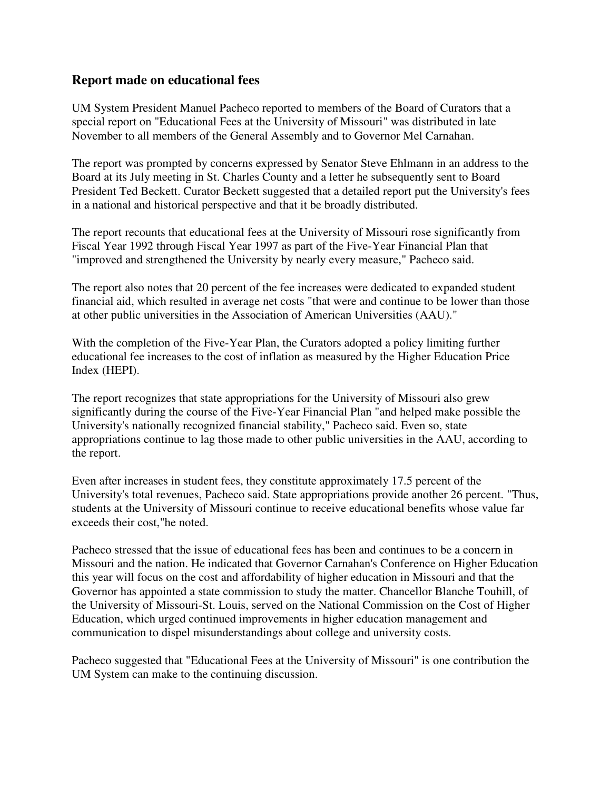### **Report made on educational fees**

UM System President Manuel Pacheco reported to members of the Board of Curators that a special report on "Educational Fees at the University of Missouri" was distributed in late November to all members of the General Assembly and to Governor Mel Carnahan.

The report was prompted by concerns expressed by Senator Steve Ehlmann in an address to the Board at its July meeting in St. Charles County and a letter he subsequently sent to Board President Ted Beckett. Curator Beckett suggested that a detailed report put the University's fees in a national and historical perspective and that it be broadly distributed.

The report recounts that educational fees at the University of Missouri rose significantly from Fiscal Year 1992 through Fiscal Year 1997 as part of the Five-Year Financial Plan that "improved and strengthened the University by nearly every measure," Pacheco said.

The report also notes that 20 percent of the fee increases were dedicated to expanded student financial aid, which resulted in average net costs "that were and continue to be lower than those at other public universities in the Association of American Universities (AAU)."

With the completion of the Five-Year Plan, the Curators adopted a policy limiting further educational fee increases to the cost of inflation as measured by the Higher Education Price Index (HEPI).

The report recognizes that state appropriations for the University of Missouri also grew significantly during the course of the Five-Year Financial Plan "and helped make possible the University's nationally recognized financial stability," Pacheco said. Even so, state appropriations continue to lag those made to other public universities in the AAU, according to the report.

Even after increases in student fees, they constitute approximately 17.5 percent of the University's total revenues, Pacheco said. State appropriations provide another 26 percent. "Thus, students at the University of Missouri continue to receive educational benefits whose value far exceeds their cost,"he noted.

Pacheco stressed that the issue of educational fees has been and continues to be a concern in Missouri and the nation. He indicated that Governor Carnahan's Conference on Higher Education this year will focus on the cost and affordability of higher education in Missouri and that the Governor has appointed a state commission to study the matter. Chancellor Blanche Touhill, of the University of Missouri-St. Louis, served on the National Commission on the Cost of Higher Education, which urged continued improvements in higher education management and communication to dispel misunderstandings about college and university costs.

Pacheco suggested that "Educational Fees at the University of Missouri" is one contribution the UM System can make to the continuing discussion.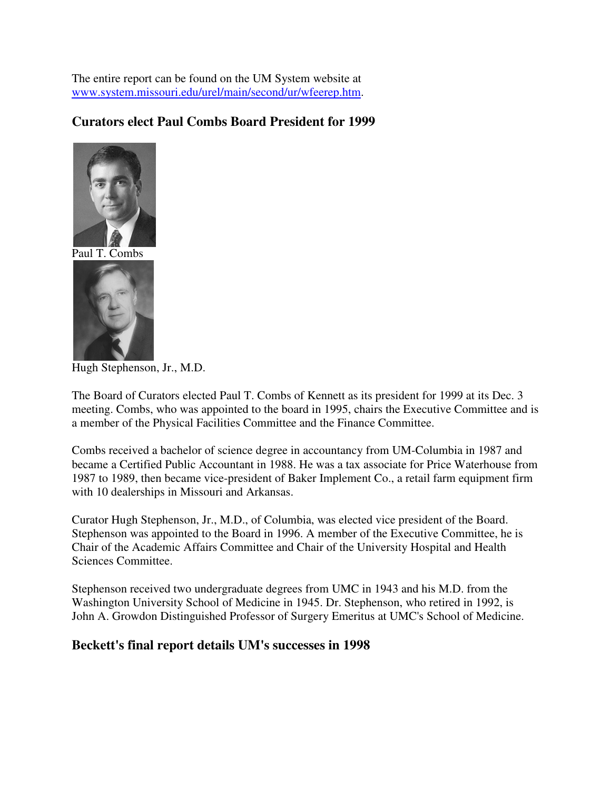The entire report can be found on the UM System website at www.system.missouri.edu/urel/main/second/ur/wfeerep.htm.

## **Curators elect Paul Combs Board President for 1999**





Hugh Stephenson, Jr., M.D.

The Board of Curators elected Paul T. Combs of Kennett as its president for 1999 at its Dec. 3 meeting. Combs, who was appointed to the board in 1995, chairs the Executive Committee and is a member of the Physical Facilities Committee and the Finance Committee.

Combs received a bachelor of science degree in accountancy from UM-Columbia in 1987 and became a Certified Public Accountant in 1988. He was a tax associate for Price Waterhouse from 1987 to 1989, then became vice-president of Baker Implement Co., a retail farm equipment firm with 10 dealerships in Missouri and Arkansas.

Curator Hugh Stephenson, Jr., M.D., of Columbia, was elected vice president of the Board. Stephenson was appointed to the Board in 1996. A member of the Executive Committee, he is Chair of the Academic Affairs Committee and Chair of the University Hospital and Health Sciences Committee.

Stephenson received two undergraduate degrees from UMC in 1943 and his M.D. from the Washington University School of Medicine in 1945. Dr. Stephenson, who retired in 1992, is John A. Growdon Distinguished Professor of Surgery Emeritus at UMC's School of Medicine.

### **Beckett's final report details UM's successes in 1998**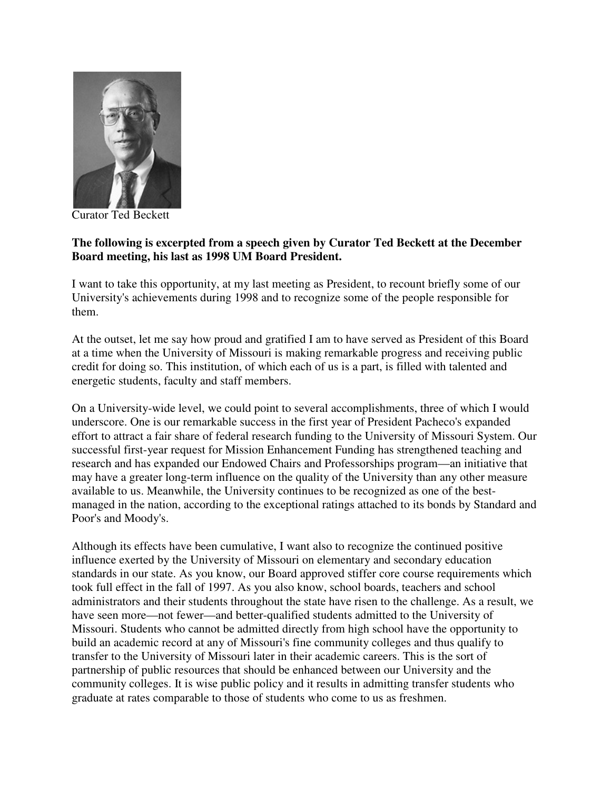

Curator Ted Beckett

#### **The following is excerpted from a speech given by Curator Ted Beckett at the December Board meeting, his last as 1998 UM Board President.**

I want to take this opportunity, at my last meeting as President, to recount briefly some of our University's achievements during 1998 and to recognize some of the people responsible for them.

At the outset, let me say how proud and gratified I am to have served as President of this Board at a time when the University of Missouri is making remarkable progress and receiving public credit for doing so. This institution, of which each of us is a part, is filled with talented and energetic students, faculty and staff members.

On a University-wide level, we could point to several accomplishments, three of which I would underscore. One is our remarkable success in the first year of President Pacheco's expanded effort to attract a fair share of federal research funding to the University of Missouri System. Our successful first-year request for Mission Enhancement Funding has strengthened teaching and research and has expanded our Endowed Chairs and Professorships program—an initiative that may have a greater long-term influence on the quality of the University than any other measure available to us. Meanwhile, the University continues to be recognized as one of the bestmanaged in the nation, according to the exceptional ratings attached to its bonds by Standard and Poor's and Moody's.

Although its effects have been cumulative, I want also to recognize the continued positive influence exerted by the University of Missouri on elementary and secondary education standards in our state. As you know, our Board approved stiffer core course requirements which took full effect in the fall of 1997. As you also know, school boards, teachers and school administrators and their students throughout the state have risen to the challenge. As a result, we have seen more—not fewer—and better-qualified students admitted to the University of Missouri. Students who cannot be admitted directly from high school have the opportunity to build an academic record at any of Missouri's fine community colleges and thus qualify to transfer to the University of Missouri later in their academic careers. This is the sort of partnership of public resources that should be enhanced between our University and the community colleges. It is wise public policy and it results in admitting transfer students who graduate at rates comparable to those of students who come to us as freshmen.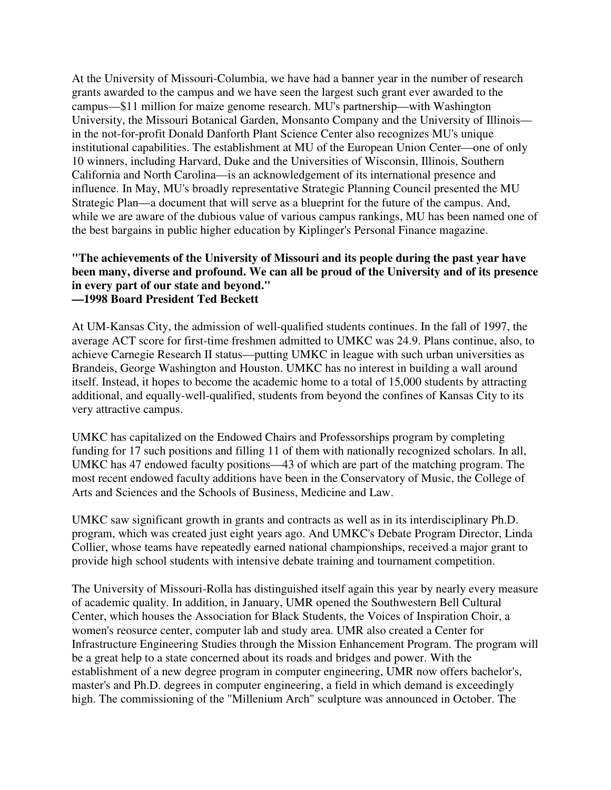At the University of Missouri-Columbia, we have had a banner year in the number of research grants awarded to the campus and we have seen the largest such grant ever awarded to the campus—\$11 million for maize genome research. MU's partnership—with Washington University, the Missouri Botanical Garden, Monsanto Company and the University of Illinois in the not-for-profit Donald Danforth Plant Science Center also recognizes MU's unique institutional capabilities. The establishment at MU of the European Union Center—one of only 10 winners, including Harvard, Duke and the Universities of Wisconsin, Illinois, Southern California and North Carolina—is an acknowledgement of its international presence and influence. In May, MU's broadly representative Strategic Planning Council presented the MU Strategic Plan—a document that will serve as a blueprint for the future of the campus. And, while we are aware of the dubious value of various campus rankings, MU has been named one of the best bargains in public higher education by Kiplinger's Personal Finance magazine.

#### **"The achievements of the University of Missouri and its people during the past year have been many, diverse and profound. We can all be proud of the University and of its presence in every part of our state and beyond." —1998 Board President Ted Beckett**

At UM-Kansas City, the admission of well-qualified students continues. In the fall of 1997, the average ACT score for first-time freshmen admitted to UMKC was 24.9. Plans continue, also, to achieve Carnegie Research II status—putting UMKC in league with such urban universities as Brandeis, George Washington and Houston. UMKC has no interest in building a wall around itself. Instead, it hopes to become the academic home to a total of 15,000 students by attracting additional, and equally-well-qualified, students from beyond the confines of Kansas City to its very attractive campus.

UMKC has capitalized on the Endowed Chairs and Professorships program by completing funding for 17 such positions and filling 11 of them with nationally recognized scholars. In all, UMKC has 47 endowed faculty positions—43 of which are part of the matching program. The most recent endowed faculty additions have been in the Conservatory of Music, the College of Arts and Sciences and the Schools of Business, Medicine and Law.

UMKC saw significant growth in grants and contracts as well as in its interdisciplinary Ph.D. program, which was created just eight years ago. And UMKC's Debate Program Director, Linda Collier, whose teams have repeatedly earned national championships, received a major grant to provide high school students with intensive debate training and tournament competition.

The University of Missouri-Rolla has distinguished itself again this year by nearly every measure of academic quality. In addition, in January, UMR opened the Southwestern Bell Cultural Center, which houses the Association for Black Students, the Voices of Inspiration Choir, a women's reosurce center, computer lab and study area. UMR also created a Center for Infrastructure Engineering Studies through the Mission Enhancement Program. The program will be a great help to a state concerned about its roads and bridges and power. With the establishment of a new degree program in computer engineering, UMR now offers bachelor's, master's and Ph.D. degrees in computer engineering, a field in which demand is exceedingly high. The commissioning of the "Millenium Arch" sculpture was announced in October. The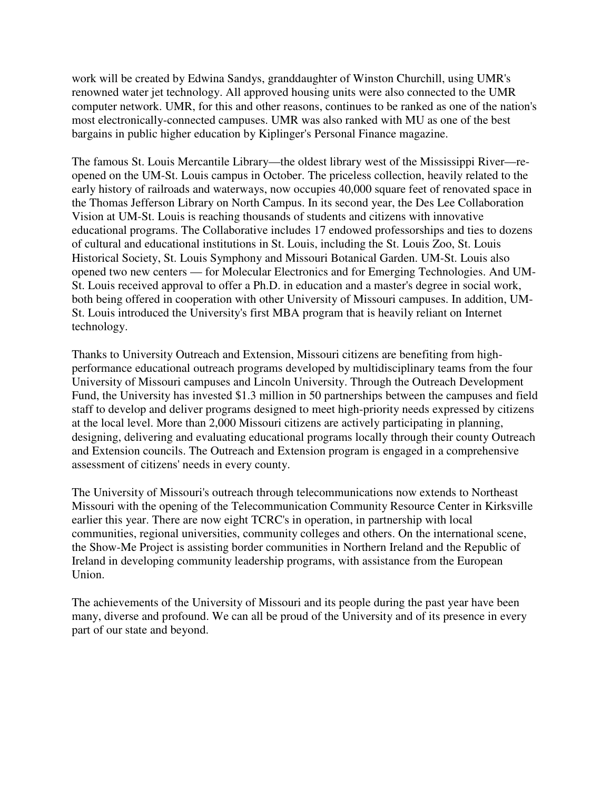work will be created by Edwina Sandys, granddaughter of Winston Churchill, using UMR's renowned water jet technology. All approved housing units were also connected to the UMR computer network. UMR, for this and other reasons, continues to be ranked as one of the nation's most electronically-connected campuses. UMR was also ranked with MU as one of the best bargains in public higher education by Kiplinger's Personal Finance magazine.

The famous St. Louis Mercantile Library—the oldest library west of the Mississippi River—reopened on the UM-St. Louis campus in October. The priceless collection, heavily related to the early history of railroads and waterways, now occupies 40,000 square feet of renovated space in the Thomas Jefferson Library on North Campus. In its second year, the Des Lee Collaboration Vision at UM-St. Louis is reaching thousands of students and citizens with innovative educational programs. The Collaborative includes 17 endowed professorships and ties to dozens of cultural and educational institutions in St. Louis, including the St. Louis Zoo, St. Louis Historical Society, St. Louis Symphony and Missouri Botanical Garden. UM-St. Louis also opened two new centers — for Molecular Electronics and for Emerging Technologies. And UM-St. Louis received approval to offer a Ph.D. in education and a master's degree in social work, both being offered in cooperation with other University of Missouri campuses. In addition, UM-St. Louis introduced the University's first MBA program that is heavily reliant on Internet technology.

Thanks to University Outreach and Extension, Missouri citizens are benefiting from highperformance educational outreach programs developed by multidisciplinary teams from the four University of Missouri campuses and Lincoln University. Through the Outreach Development Fund, the University has invested \$1.3 million in 50 partnerships between the campuses and field staff to develop and deliver programs designed to meet high-priority needs expressed by citizens at the local level. More than 2,000 Missouri citizens are actively participating in planning, designing, delivering and evaluating educational programs locally through their county Outreach and Extension councils. The Outreach and Extension program is engaged in a comprehensive assessment of citizens' needs in every county.

The University of Missouri's outreach through telecommunications now extends to Northeast Missouri with the opening of the Telecommunication Community Resource Center in Kirksville earlier this year. There are now eight TCRC's in operation, in partnership with local communities, regional universities, community colleges and others. On the international scene, the Show-Me Project is assisting border communities in Northern Ireland and the Republic of Ireland in developing community leadership programs, with assistance from the European Union.

The achievements of the University of Missouri and its people during the past year have been many, diverse and profound. We can all be proud of the University and of its presence in every part of our state and beyond.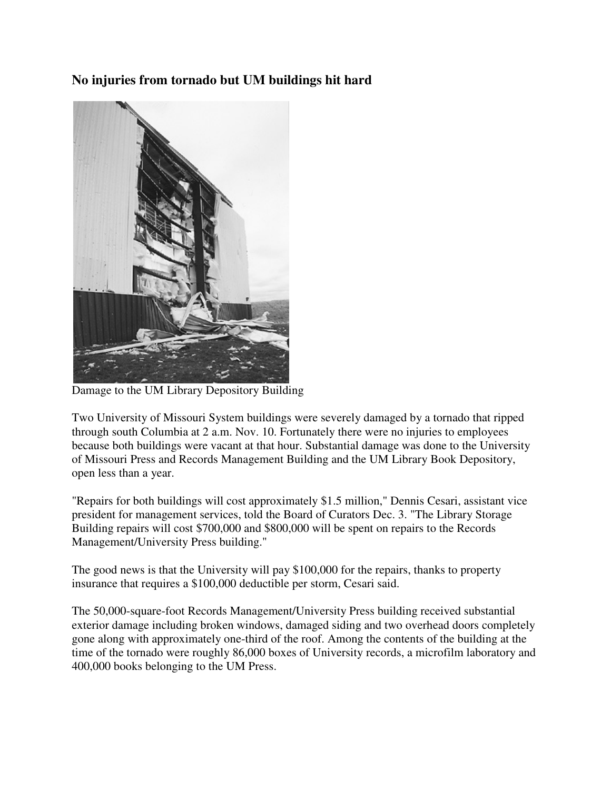# **No injuries from tornado but UM buildings hit hard**



Damage to the UM Library Depository Building

Two University of Missouri System buildings were severely damaged by a tornado that ripped through south Columbia at 2 a.m. Nov. 10. Fortunately there were no injuries to employees because both buildings were vacant at that hour. Substantial damage was done to the University of Missouri Press and Records Management Building and the UM Library Book Depository, open less than a year.

"Repairs for both buildings will cost approximately \$1.5 million," Dennis Cesari, assistant vice president for management services, told the Board of Curators Dec. 3. "The Library Storage Building repairs will cost \$700,000 and \$800,000 will be spent on repairs to the Records Management/University Press building."

The good news is that the University will pay \$100,000 for the repairs, thanks to property insurance that requires a \$100,000 deductible per storm, Cesari said.

The 50,000-square-foot Records Management/University Press building received substantial exterior damage including broken windows, damaged siding and two overhead doors completely gone along with approximately one-third of the roof. Among the contents of the building at the time of the tornado were roughly 86,000 boxes of University records, a microfilm laboratory and 400,000 books belonging to the UM Press.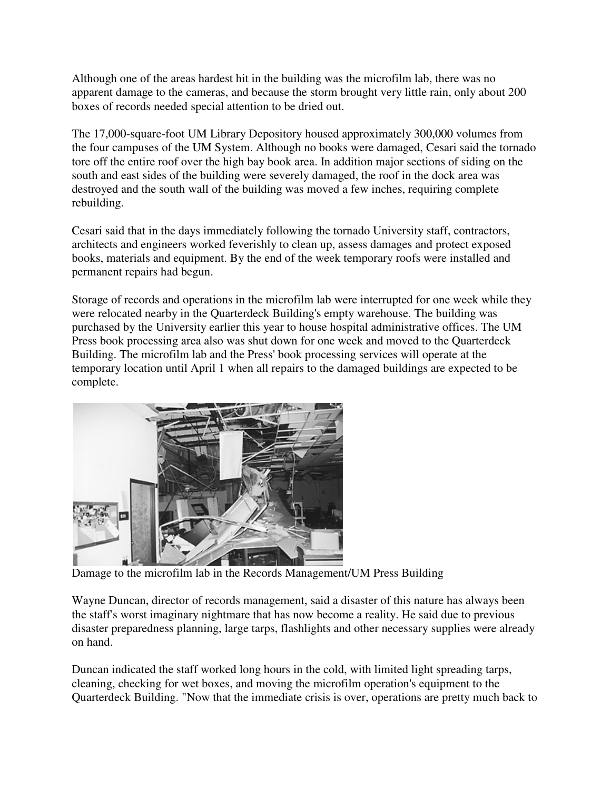Although one of the areas hardest hit in the building was the microfilm lab, there was no apparent damage to the cameras, and because the storm brought very little rain, only about 200 boxes of records needed special attention to be dried out.

The 17,000-square-foot UM Library Depository housed approximately 300,000 volumes from the four campuses of the UM System. Although no books were damaged, Cesari said the tornado tore off the entire roof over the high bay book area. In addition major sections of siding on the south and east sides of the building were severely damaged, the roof in the dock area was destroyed and the south wall of the building was moved a few inches, requiring complete rebuilding.

Cesari said that in the days immediately following the tornado University staff, contractors, architects and engineers worked feverishly to clean up, assess damages and protect exposed books, materials and equipment. By the end of the week temporary roofs were installed and permanent repairs had begun.

Storage of records and operations in the microfilm lab were interrupted for one week while they were relocated nearby in the Quarterdeck Building's empty warehouse. The building was purchased by the University earlier this year to house hospital administrative offices. The UM Press book processing area also was shut down for one week and moved to the Quarterdeck Building. The microfilm lab and the Press' book processing services will operate at the temporary location until April 1 when all repairs to the damaged buildings are expected to be complete.



Damage to the microfilm lab in the Records Management/UM Press Building

Wayne Duncan, director of records management, said a disaster of this nature has always been the staff's worst imaginary nightmare that has now become a reality. He said due to previous disaster preparedness planning, large tarps, flashlights and other necessary supplies were already on hand.

Duncan indicated the staff worked long hours in the cold, with limited light spreading tarps, cleaning, checking for wet boxes, and moving the microfilm operation's equipment to the Quarterdeck Building. "Now that the immediate crisis is over, operations are pretty much back to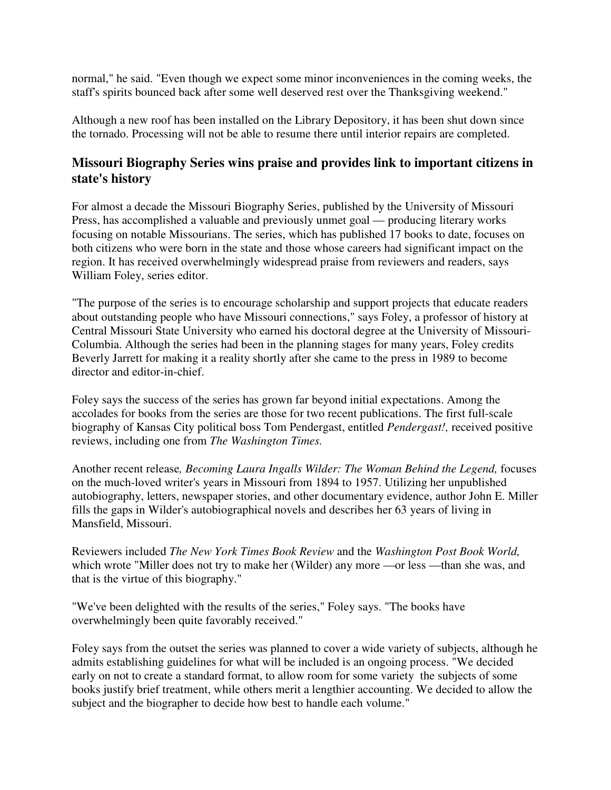normal," he said. "Even though we expect some minor inconveniences in the coming weeks, the staff's spirits bounced back after some well deserved rest over the Thanksgiving weekend."

Although a new roof has been installed on the Library Depository, it has been shut down since the tornado. Processing will not be able to resume there until interior repairs are completed.

# **Missouri Biography Series wins praise and provides link to important citizens in state's history**

For almost a decade the Missouri Biography Series, published by the University of Missouri Press, has accomplished a valuable and previously unmet goal — producing literary works focusing on notable Missourians. The series, which has published 17 books to date, focuses on both citizens who were born in the state and those whose careers had significant impact on the region. It has received overwhelmingly widespread praise from reviewers and readers, says William Foley, series editor.

"The purpose of the series is to encourage scholarship and support projects that educate readers about outstanding people who have Missouri connections," says Foley, a professor of history at Central Missouri State University who earned his doctoral degree at the University of Missouri-Columbia. Although the series had been in the planning stages for many years, Foley credits Beverly Jarrett for making it a reality shortly after she came to the press in 1989 to become director and editor-in-chief.

Foley says the success of the series has grown far beyond initial expectations. Among the accolades for books from the series are those for two recent publications. The first full-scale biography of Kansas City political boss Tom Pendergast, entitled *Pendergast!,* received positive reviews, including one from *The Washington Times.*

Another recent release*, Becoming Laura Ingalls Wilder: The Woman Behind the Legend,* focuses on the much-loved writer's years in Missouri from 1894 to 1957. Utilizing her unpublished autobiography, letters, newspaper stories, and other documentary evidence, author John E. Miller fills the gaps in Wilder's autobiographical novels and describes her 63 years of living in Mansfield, Missouri.

Reviewers included *The New York Times Book Review* and the *Washington Post Book World,* which wrote "Miller does not try to make her (Wilder) any more —or less —than she was, and that is the virtue of this biography."

"We've been delighted with the results of the series," Foley says. "The books have overwhelmingly been quite favorably received."

Foley says from the outset the series was planned to cover a wide variety of subjects, although he admits establishing guidelines for what will be included is an ongoing process. "We decided early on not to create a standard format, to allow room for some variety the subjects of some books justify brief treatment, while others merit a lengthier accounting. We decided to allow the subject and the biographer to decide how best to handle each volume."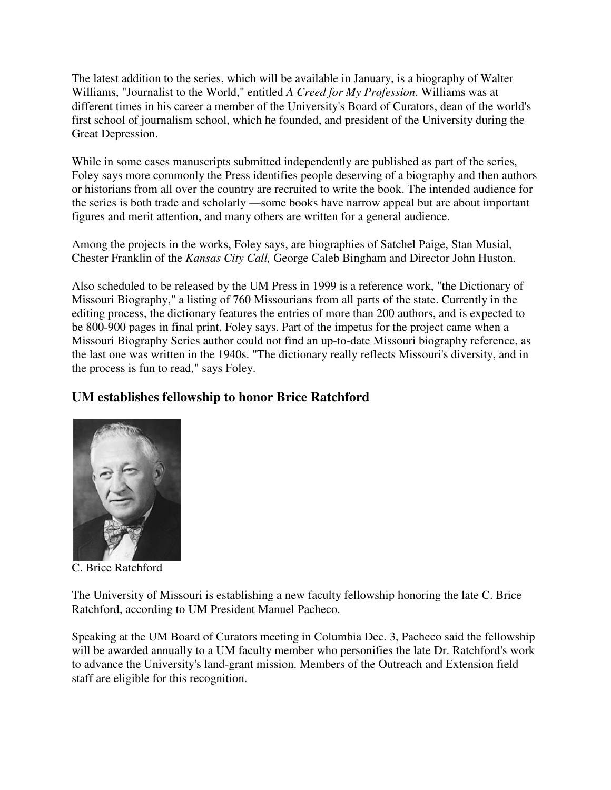The latest addition to the series, which will be available in January, is a biography of Walter Williams, "Journalist to the World," entitled *A Creed for My Profession*. Williams was at different times in his career a member of the University's Board of Curators, dean of the world's first school of journalism school, which he founded, and president of the University during the Great Depression.

While in some cases manuscripts submitted independently are published as part of the series, Foley says more commonly the Press identifies people deserving of a biography and then authors or historians from all over the country are recruited to write the book. The intended audience for the series is both trade and scholarly —some books have narrow appeal but are about important figures and merit attention, and many others are written for a general audience.

Among the projects in the works, Foley says, are biographies of Satchel Paige, Stan Musial, Chester Franklin of the *Kansas City Call,* George Caleb Bingham and Director John Huston.

Also scheduled to be released by the UM Press in 1999 is a reference work, "the Dictionary of Missouri Biography," a listing of 760 Missourians from all parts of the state. Currently in the editing process, the dictionary features the entries of more than 200 authors, and is expected to be 800-900 pages in final print, Foley says. Part of the impetus for the project came when a Missouri Biography Series author could not find an up-to-date Missouri biography reference, as the last one was written in the 1940s. "The dictionary really reflects Missouri's diversity, and in the process is fun to read," says Foley.

# **UM establishes fellowship to honor Brice Ratchford**



C. Brice Ratchford

The University of Missouri is establishing a new faculty fellowship honoring the late C. Brice Ratchford, according to UM President Manuel Pacheco.

Speaking at the UM Board of Curators meeting in Columbia Dec. 3, Pacheco said the fellowship will be awarded annually to a UM faculty member who personifies the late Dr. Ratchford's work to advance the University's land-grant mission. Members of the Outreach and Extension field staff are eligible for this recognition.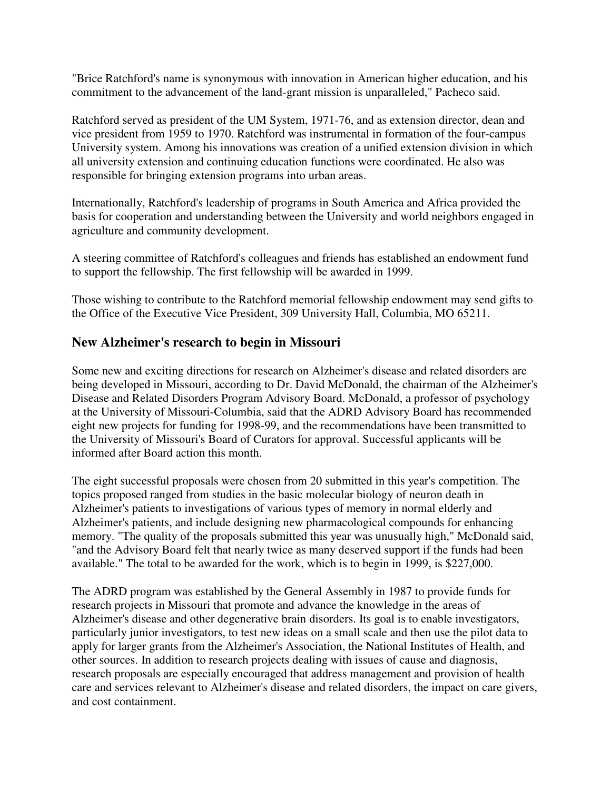"Brice Ratchford's name is synonymous with innovation in American higher education, and his commitment to the advancement of the land-grant mission is unparalleled," Pacheco said.

Ratchford served as president of the UM System, 1971-76, and as extension director, dean and vice president from 1959 to 1970. Ratchford was instrumental in formation of the four-campus University system. Among his innovations was creation of a unified extension division in which all university extension and continuing education functions were coordinated. He also was responsible for bringing extension programs into urban areas.

Internationally, Ratchford's leadership of programs in South America and Africa provided the basis for cooperation and understanding between the University and world neighbors engaged in agriculture and community development.

A steering committee of Ratchford's colleagues and friends has established an endowment fund to support the fellowship. The first fellowship will be awarded in 1999.

Those wishing to contribute to the Ratchford memorial fellowship endowment may send gifts to the Office of the Executive Vice President, 309 University Hall, Columbia, MO 65211.

## **New Alzheimer's research to begin in Missouri**

Some new and exciting directions for research on Alzheimer's disease and related disorders are being developed in Missouri, according to Dr. David McDonald, the chairman of the Alzheimer's Disease and Related Disorders Program Advisory Board. McDonald, a professor of psychology at the University of Missouri-Columbia, said that the ADRD Advisory Board has recommended eight new projects for funding for 1998-99, and the recommendations have been transmitted to the University of Missouri's Board of Curators for approval. Successful applicants will be informed after Board action this month.

The eight successful proposals were chosen from 20 submitted in this year's competition. The topics proposed ranged from studies in the basic molecular biology of neuron death in Alzheimer's patients to investigations of various types of memory in normal elderly and Alzheimer's patients, and include designing new pharmacological compounds for enhancing memory. "The quality of the proposals submitted this year was unusually high," McDonald said, "and the Advisory Board felt that nearly twice as many deserved support if the funds had been available." The total to be awarded for the work, which is to begin in 1999, is \$227,000.

The ADRD program was established by the General Assembly in 1987 to provide funds for research projects in Missouri that promote and advance the knowledge in the areas of Alzheimer's disease and other degenerative brain disorders. Its goal is to enable investigators, particularly junior investigators, to test new ideas on a small scale and then use the pilot data to apply for larger grants from the Alzheimer's Association, the National Institutes of Health, and other sources. In addition to research projects dealing with issues of cause and diagnosis, research proposals are especially encouraged that address management and provision of health care and services relevant to Alzheimer's disease and related disorders, the impact on care givers, and cost containment.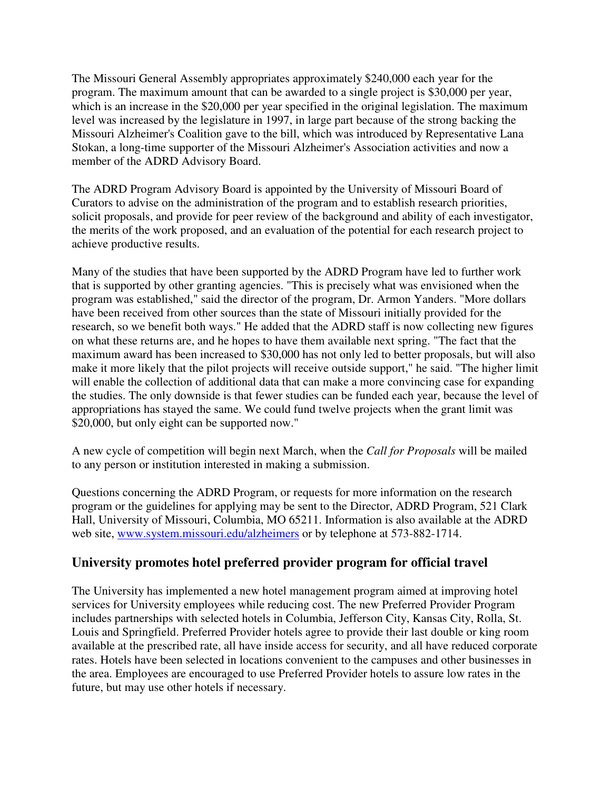The Missouri General Assembly appropriates approximately \$240,000 each year for the program. The maximum amount that can be awarded to a single project is \$30,000 per year, which is an increase in the \$20,000 per year specified in the original legislation. The maximum level was increased by the legislature in 1997, in large part because of the strong backing the Missouri Alzheimer's Coalition gave to the bill, which was introduced by Representative Lana Stokan, a long-time supporter of the Missouri Alzheimer's Association activities and now a member of the ADRD Advisory Board.

The ADRD Program Advisory Board is appointed by the University of Missouri Board of Curators to advise on the administration of the program and to establish research priorities, solicit proposals, and provide for peer review of the background and ability of each investigator, the merits of the work proposed, and an evaluation of the potential for each research project to achieve productive results.

Many of the studies that have been supported by the ADRD Program have led to further work that is supported by other granting agencies. "This is precisely what was envisioned when the program was established," said the director of the program, Dr. Armon Yanders. "More dollars have been received from other sources than the state of Missouri initially provided for the research, so we benefit both ways." He added that the ADRD staff is now collecting new figures on what these returns are, and he hopes to have them available next spring. "The fact that the maximum award has been increased to \$30,000 has not only led to better proposals, but will also make it more likely that the pilot projects will receive outside support," he said. "The higher limit will enable the collection of additional data that can make a more convincing case for expanding the studies. The only downside is that fewer studies can be funded each year, because the level of appropriations has stayed the same. We could fund twelve projects when the grant limit was \$20,000, but only eight can be supported now."

A new cycle of competition will begin next March, when the *Call for Proposals* will be mailed to any person or institution interested in making a submission.

Questions concerning the ADRD Program, or requests for more information on the research program or the guidelines for applying may be sent to the Director, ADRD Program, 521 Clark Hall, University of Missouri, Columbia, MO 65211. Information is also available at the ADRD web site, www.system.missouri.edu/alzheimers or by telephone at 573-882-1714.

## **University promotes hotel preferred provider program for official travel**

The University has implemented a new hotel management program aimed at improving hotel services for University employees while reducing cost. The new Preferred Provider Program includes partnerships with selected hotels in Columbia, Jefferson City, Kansas City, Rolla, St. Louis and Springfield. Preferred Provider hotels agree to provide their last double or king room available at the prescribed rate, all have inside access for security, and all have reduced corporate rates. Hotels have been selected in locations convenient to the campuses and other businesses in the area. Employees are encouraged to use Preferred Provider hotels to assure low rates in the future, but may use other hotels if necessary.